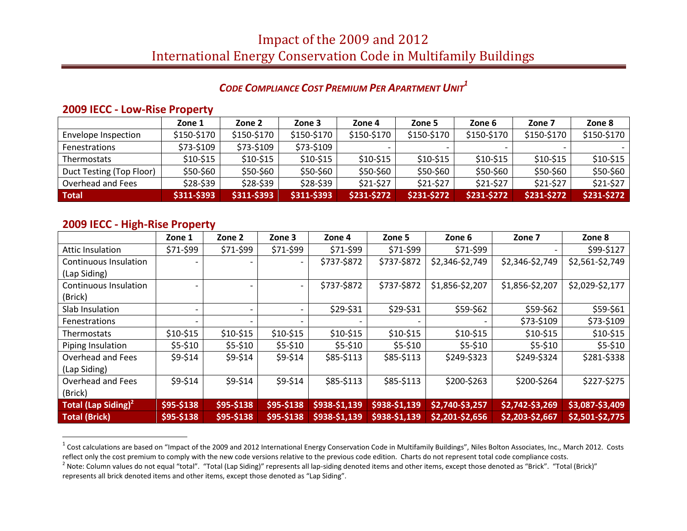# Impact of the 2009 and 2012 International Energy Conservation Code in Multifamily Buildings

## *CODE COMPLIANCE COST PREMIUM PER APARTMENT UNIT<sup>1</sup>*

#### **2009 IECC - Low-Rise Property**

|                          | Zone 1      | Zone 2      | Zone 3      | Zone 4      | Zone 5      | Zone 6      | Zone 7      | Zone 8      |
|--------------------------|-------------|-------------|-------------|-------------|-------------|-------------|-------------|-------------|
| Envelope Inspection      | \$150-\$170 | \$150-\$170 | \$150-\$170 | \$150-\$170 | \$150-\$170 | \$150-\$170 | \$150-\$170 | \$150-\$170 |
| <b>Fenestrations</b>     | \$73-\$109  | \$73-\$109  | \$73-\$109  |             |             |             |             |             |
| <b>Thermostats</b>       | \$10-\$15   | $$10-$15$   | $$10-$15$   | $$10-$15$   | $$10-$15$   | $$10-$15$   | $$10-$15$   | $$10-$15$   |
| Duct Testing (Top Floor) | \$50-\$60   | \$50-\$60   | \$50-\$60   | \$50-\$60   | \$50-\$60   | \$50-\$60   | \$50-\$60   | \$50-\$60   |
| Overhead and Fees        | \$28-\$39   | \$28-\$39   | \$28-\$39   | \$21-\$27   | \$21-\$27   | $$21-$27$   | $$21-$27$   | \$21-\$27   |
| Total                    | \$311-\$393 | \$311-\$393 | \$311-\$393 | \$231-\$272 | \$231-\$272 | \$231-\$272 | \$231-\$272 | \$231-\$272 |

#### **2009 IECC - High-Rise Property**

l

|                                 | Zone 1                   | Zone 2     | Zone 3                   | Zone 4        | Zone 5        | Zone 6          | Zone 7          | Zone 8          |
|---------------------------------|--------------------------|------------|--------------------------|---------------|---------------|-----------------|-----------------|-----------------|
| Attic Insulation                | \$71-\$99                | \$71-\$99  | \$71-\$99                | \$71-\$99     | \$71-\$99     | \$71-\$99       |                 | \$99-\$127      |
| <b>Continuous Insulation</b>    |                          |            | $\overline{\phantom{0}}$ | \$737-\$872   | \$737-\$872   | \$2,346-\$2,749 | \$2,346-\$2,749 | \$2,561-\$2,749 |
| (Lap Siding)                    |                          |            |                          |               |               |                 |                 |                 |
| Continuous Insulation           | $\overline{\phantom{0}}$ |            |                          | \$737-\$872   | \$737-\$872   | \$1,856-\$2,207 | \$1,856-\$2,207 | \$2,029-\$2,177 |
| (Brick)                         |                          |            |                          |               |               |                 |                 |                 |
| Slab Insulation                 | $\overline{\phantom{0}}$ |            |                          | \$29-\$31     | \$29-\$31     | \$59-\$62       | \$59-\$62       | \$59-\$61       |
| <b>Fenestrations</b>            |                          |            |                          |               |               |                 | \$73-\$109      | \$73-\$109      |
| <b>Thermostats</b>              | $$10-$15$                | $$10-$15$  | $$10-$15$                | $$10-$15$     | $$10-$15$     | $$10-$15$       | $$10-$15$       | $$10-$15$       |
| Piping Insulation               | $$5-$10$                 | $$5-$10$   | $$5-$10$                 | $$5-$10$      | $$5-$10$      | $$5-$10$        | $$5-$10$        | $$5-$10$        |
| Overhead and Fees               | \$9-\$14                 | \$9-\$14   | \$9-\$14                 | \$85-\$113    | \$85-\$113    | \$249-\$323     | \$249-\$324     | \$281-\$338     |
| (Lap Siding)                    |                          |            |                          |               |               |                 |                 |                 |
| Overhead and Fees               | \$9-\$14                 | \$9-\$14   | \$9-\$14                 | \$85-\$113    | \$85-\$113    | \$200-\$263     | \$200-\$264     | \$227-\$275     |
| (Brick)                         |                          |            |                          |               |               |                 |                 |                 |
| Total (Lap Siding) <sup>2</sup> | \$95-\$138               | \$95-\$138 | \$95-\$138               | \$938-\$1,139 | \$938-\$1,139 | \$2,740-\$3,257 | \$2,742-\$3,269 | \$3,087-\$3,409 |
| <b>Total (Brick)</b>            | \$95-\$138               | \$95-\$138 | \$95-\$138               | \$938-\$1,139 | \$938-\$1,139 | \$2,201-\$2,656 | \$2,203-\$2,667 | \$2,501-\$2,775 |

 $^1$  Cost calculations are based on "Impact of the 2009 and 2012 International Energy Conservation Code in Multifamily Buildings", Niles Bolton Associates, Inc., March 2012. Costs reflect only the cost premium to comply with the new code versions relative to the previous code edition. Charts do not represent total code compliance costs.

<sup>&</sup>lt;sup>2</sup> Note: Column values do not equal "total". "Total (Lap Siding)" represents all lap-siding denoted items and other items, except those denoted as "Brick". "Total (Brick)" represents all brick denoted items and other items, except those denoted as "Lap Siding".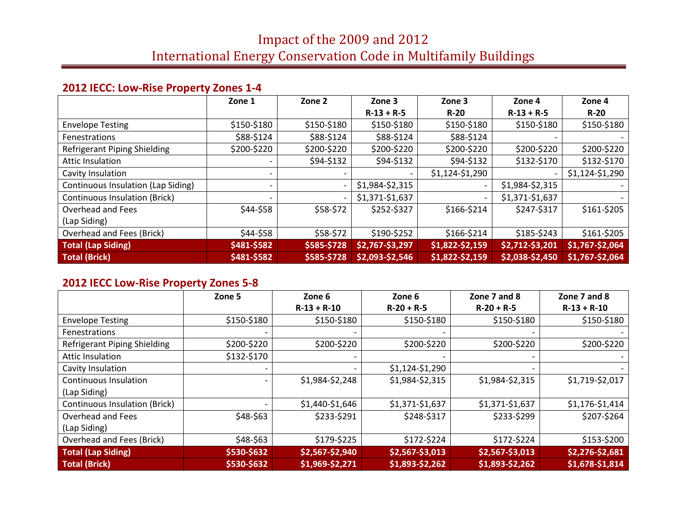# **2012 IECC: Low-Rise Property Zones 1-4**

|                                    | Zone 1      | Zone 2                   | Zone 3          | Zone 3                   | Zone 4          | Zone 4          |
|------------------------------------|-------------|--------------------------|-----------------|--------------------------|-----------------|-----------------|
|                                    |             |                          | $R-13 + R-5$    | $R-20$                   | $R-13 + R-5$    | $R-20$          |
| <b>Envelope Testing</b>            | \$150-\$180 | \$150-\$180              | \$150-\$180     | \$150-\$180              | \$150-\$180     | \$150-\$180     |
| <b>Fenestrations</b>               | \$88-\$124  | \$88-\$124               | \$88-\$124      | \$88-\$124               |                 |                 |
| Refrigerant Piping Shielding       | \$200-\$220 | \$200-\$220              | \$200-\$220     | \$200-\$220              | \$200-\$220     | \$200-\$220     |
| <b>Attic Insulation</b>            |             | \$94-\$132               | \$94-\$132      | \$94-\$132               | \$132-\$170     | \$132-\$170     |
| Cavity Insulation                  |             |                          |                 | \$1,124-\$1,290          |                 | \$1,124-\$1,290 |
| Continuous Insulation (Lap Siding) |             | $\overline{\phantom{0}}$ | \$1,984-\$2,315 | $\overline{\phantom{a}}$ | \$1,984-\$2,315 |                 |
| Continuous Insulation (Brick)      |             |                          | \$1,371-\$1,637 |                          | \$1,371-\$1,637 |                 |
| Overhead and Fees                  | \$44-\$58   | \$58-\$72                | \$252-\$327     | \$166-\$214              | \$247-\$317     | \$161-\$205     |
| (Lap Siding)                       |             |                          |                 |                          |                 |                 |
| Overhead and Fees (Brick)          | \$44-\$58   | \$58-\$72                | \$190-\$252     | \$166-\$214              | \$185-\$243     | \$161-\$205     |
| <b>Total (Lap Siding)</b>          | \$481-\$582 | \$585-\$728              | \$2,767-\$3,297 | \$1,822-\$2,159          | \$2,712-\$3,201 | \$1,767-\$2,064 |
| <b>Total (Brick)</b>               | \$481-\$582 | \$585-\$728              | \$2,093-\$2,546 | \$1,822-\$2,159          | \$2,038-\$2,450 | \$1,767-\$2,064 |

# **2012 IECC Low-Rise Property Zones 5-8**

|                               | Zone 5      | Zone 6          | Zone 6          | Zone 7 and 8    | Zone 7 and 8    |
|-------------------------------|-------------|-----------------|-----------------|-----------------|-----------------|
|                               |             | $R-13 + R-10$   | $R-20 + R-5$    | $R-20 + R-5$    | $R-13 + R-10$   |
| <b>Envelope Testing</b>       | \$150-\$180 | \$150-\$180     | \$150-\$180     | \$150-\$180     | \$150-\$180     |
| Fenestrations                 |             |                 |                 |                 |                 |
| Refrigerant Piping Shielding  | \$200-\$220 | \$200-\$220     | \$200-\$220     | \$200-\$220     | \$200-\$220     |
| Attic Insulation              | \$132-\$170 |                 |                 |                 |                 |
| Cavity Insulation             |             |                 | \$1,124-\$1,290 |                 |                 |
| Continuous Insulation         |             | \$1,984-\$2,248 | \$1,984-\$2,315 | \$1,984-\$2,315 | \$1,719-\$2,017 |
| (Lap Siding)                  |             |                 |                 |                 |                 |
| Continuous Insulation (Brick) |             | \$1,440-\$1,646 | \$1,371-\$1,637 | \$1,371-\$1,637 | \$1,176-\$1,414 |
| Overhead and Fees             | \$48-\$63   | \$233-\$291     | \$248-\$317     | \$233-\$299     | \$207-\$264     |
| (Lap Siding)                  |             |                 |                 |                 |                 |
| Overhead and Fees (Brick)     | \$48-\$63   | \$179-\$225     | \$172-\$224     | \$172-\$224     | \$153-\$200     |
| <b>Total (Lap Siding)</b>     | \$530-\$632 | \$2,567-\$2,940 | \$2,567-\$3,013 | \$2,567-\$3,013 | \$2,276-\$2,681 |
| <b>Total (Brick)</b>          | \$530-\$632 | \$1,969-\$2,271 | \$1,893-\$2,262 | \$1,893-\$2,262 | \$1,678-\$1,814 |